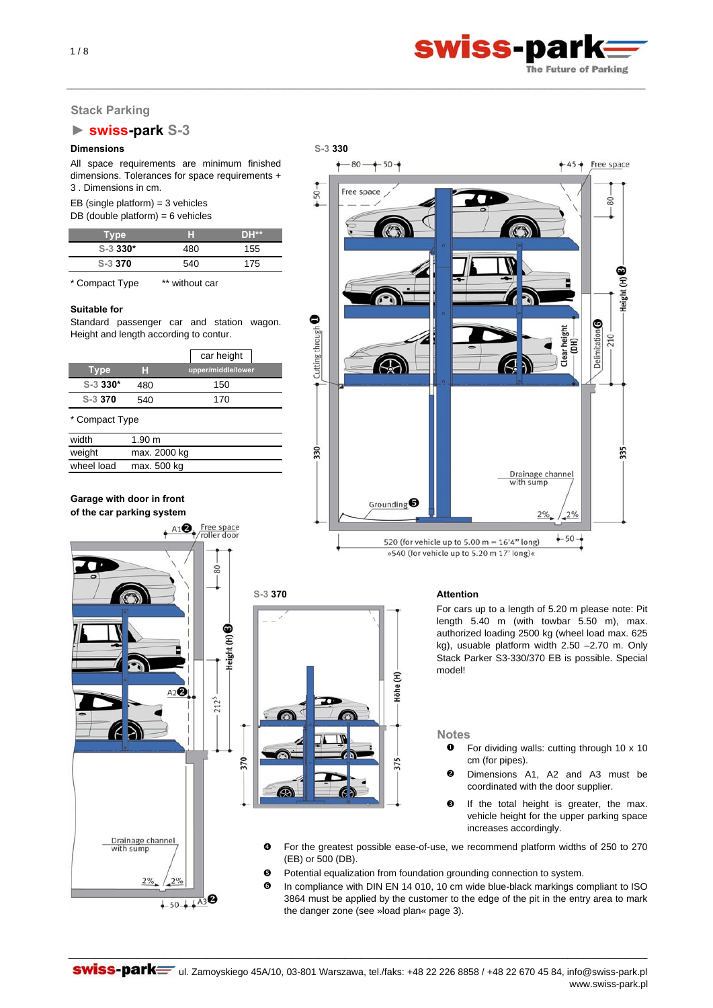

# **Stack Parking**

# **► swiss-park S-3**

All space requirements are minimum finished dimensions. Tolerances for space requirements + 3 . Dimensions in cm.

EB (single platform) =  $3$  vehicles

DB (double platform) =  $6$  vehicles

| Tvpe       | ы   | DH** |
|------------|-----|------|
| $S-3$ 330* | 480 | 155  |
| S-3 370    | 540 | 175  |

\* Compact Type \*\* without car

#### **Suitable for**

Standard passenger car and station wagon. Height and length according to contur.

|            |     | car height         |
|------------|-----|--------------------|
| Type       |     | upper/middle/lower |
| $S-3$ 330* | 480 | 150                |
| S-3 370    | 540 | 170                |
|            |     |                    |

\* Compact Type

| width      | 1.90 m       |  |
|------------|--------------|--|
| weight     | max. 2000 kg |  |
| wheel load | max. 500 kg  |  |

 $+A1$ <sup>e</sup> Free space

 $A2Q$ 

 $\frac{8}{2}$ 

leight (H) <sup>6</sup>

370

0

2125

**Garage with door in front of the car parking system**

> Z Þ

> > $2%$

 $2%$ 

 $+50++43$ <sup>8</sup>



\_\_\_\_\_\_\_\_\_\_\_\_\_\_\_\_\_\_\_\_\_\_\_\_\_\_\_\_\_\_\_\_\_\_\_\_\_\_\_\_\_\_\_\_\_\_\_\_\_\_\_\_\_\_\_\_\_\_\_\_\_\_\_\_\_\_\_\_\_\_\_\_\_\_\_\_\_\_\_\_\_\_\_\_\_\_\_\_\_\_\_\_\_\_\_\_\_\_\_\_\_\_\_\_\_\_\_\_\_

»540 (for vehicle up to 5.20 m 17' long)«

#### **S-3 370 Attention**

For cars up to a length of 5.20 m please note: Pit length 5.40 m (with towbar 5.50 m), max. authorized loading 2500 kg (wheel load max. 625 kg), usuable platform width 2.50 –2.70 m. Only Stack Parker S3-330/370 EB is possible. Special model!

**Notes**

- $\bullet$ For dividing walls: cutting through 10 x 10 cm (for pipes).
- $\Omega$ Dimensions A1, A2 and A3 must be coordinated with the door supplier.
- $\bullet$ If the total height is greater, the max. vehicle height for the upper parking space increases accordingly.
- For the greatest possible ease-of-use, we recommend platform widths of 250 to 270 (EB) or 500 (DB).
- $\Theta$  Potential equalization from foundation grounding connection to system.

Höhe (H)

375

ದ

Q In compliance with DIN EN 14 010, 10 cm wide blue-black markings compliant to ISO 3864 must be applied by the customer to the edge of the pit in the entry area to mark the danger zone (see »load plan« page 3).

Drainage channel<br>with sump  $\frac{1}{\sqrt{2}}$ Ø

 $1/8$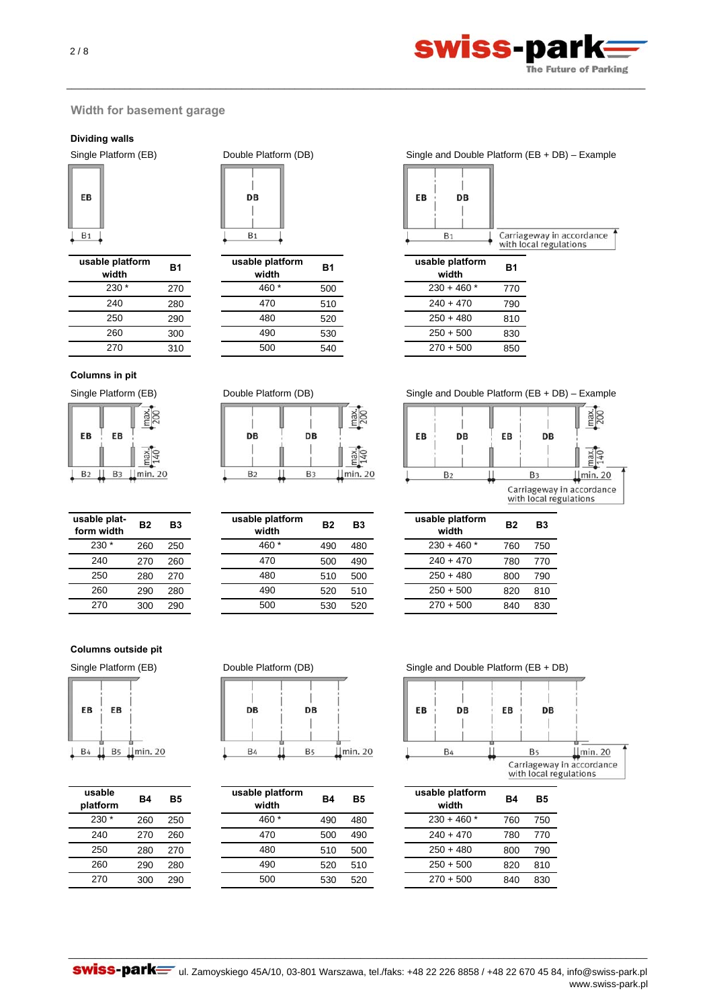

# **Width for basement garage**

### **Dividing walls**



| usable platform<br>width | <b>B1</b> | usable plat<br>width |
|--------------------------|-----------|----------------------|
| $230*$                   | 270       | $\ast$<br>460        |
| 240                      | 280       | 470                  |
| 250                      | 290       | 480                  |
| 260                      | 300       | 490                  |
| 270                      | 310       | 500                  |
|                          |           |                      |

# **Columns in pit**

| EB             | EB             |        |
|----------------|----------------|--------|
|                |                |        |
| B <sub>2</sub> | B <sub>3</sub> | in. 20 |

| usable plat-<br>form width | B2  | B3  |
|----------------------------|-----|-----|
| 230                        | 260 | 250 |
| 240                        | 270 | 260 |
| 250                        | 280 | 270 |
| 260                        | 290 | 280 |
| 270                        | 300 | 290 |

# **Columns outside pit**



| usable<br>platform | B4  | Β5  |
|--------------------|-----|-----|
| 230                | 260 | 250 |
| 240                | 270 | 260 |
| 250                | 280 | 270 |
| 260                | 290 | 280 |
| 270                | 300 | 290 |



\_\_\_\_\_\_\_\_\_\_\_\_\_\_\_\_\_\_\_\_\_\_\_\_\_\_\_\_\_\_\_\_\_\_\_\_\_\_\_\_\_\_\_\_\_\_\_\_\_\_\_\_\_\_\_\_\_\_\_\_\_\_\_\_\_\_\_\_\_\_\_\_\_\_\_\_\_\_\_\_\_\_\_\_\_\_\_\_\_\_\_\_\_\_\_\_\_\_\_\_\_\_\_\_\_\_\_\_\_

| <b>B1</b> | usable platform<br>width | <b>B1</b> | usable platform<br>width | <b>B1</b> |
|-----------|--------------------------|-----------|--------------------------|-----------|
| 270       | 460 *                    | 500       | $230 + 460*$             | 770       |
| 280       | 470                      | 510       | $240 + 470$              | 790       |
| 290       | 480                      | 520       | $250 + 480$              | 810       |
| 300       | 490                      | 530       | $250 + 500$              | 830       |
| 310       | 500                      | 540       | $270 + 500$              | 850       |
|           |                          |           |                          |           |



| usable plat-<br>form width | <b>B2</b> | B3  | usable platform<br>width | <b>B2</b> | <b>B3</b> | usable platform<br>width | <b>B2</b> | <b>B3</b> |
|----------------------------|-----------|-----|--------------------------|-----------|-----------|--------------------------|-----------|-----------|
| $230*$                     | 260       | 250 | 460 *                    | 490       | 480       | $230 + 460$ *            | 760       | 750       |
| 240                        | 270       | 260 | 470                      | 500       | 490       | $240 + 470$              | 780       | 770       |
| 250                        | 280       | 270 | 480                      | 510       | 500       | $250 + 480$              | 800       | 790       |
| 260                        | 290       | 280 | 490                      | 520       | 510       | $250 + 500$              | 820       | 810       |
| 270                        | 300       | 290 | 500                      | 530       | 520       | $270 + 500$              | 840       | 830       |
|                            |           |     |                          |           |           |                          |           |           |

# DB DB **B**<sub>4</sub> **B**<sub>5</sub>  $\lfloor \min. 20$

| usable<br>platform | <b>B4</b> | <b>B5</b> | usable platform<br>width | <b>B4</b> | <b>B5</b> | usable platform<br>width | <b>B4</b> | <b>B5</b> |
|--------------------|-----------|-----------|--------------------------|-----------|-----------|--------------------------|-----------|-----------|
| $230*$             | 260       | 250       | 460 *                    | 490       | 480       | $230 + 460$ *            | 760       | 750       |
| 240                | 270       | 260       | 470                      | 500       | 490       | $240 + 470$              | 780       | 770       |
| 250                | 280       | 270       | 480                      | 510       | 500       | $250 + 480$              | 800       | 790       |
| 260                | 290       | 280       | 490                      | 520       | 510       | $250 + 500$              | 820       | 810       |
| 270                | 300       | 290       | 500                      | 530       | 520       | $270 + 500$              | 840       | 830       |
|                    |           |           |                          |           |           |                          |           |           |

## Single Platform (EB) Double Platform (DB) Single and Double Platform (EB + DB) – Example



| usable platform<br>width | Β1  |
|--------------------------|-----|
| $230 + 460$ *            | 770 |
| $240 + 470$              | 790 |
| $250 + 480$              | 810 |
| $250 + 500$              | 830 |
| $270 + 500$              | 850 |

Single Platform (EB) Double Platform (DB) Single and Double Platform (EB + DB) – Example



| usable platform<br>width | <b>B2</b> | B3  |
|--------------------------|-----------|-----|
| $230 + 460$ *            | 760       | 750 |
| $240 + 470$              | 780       | 770 |
| $250 + 480$              | 800       | 790 |
| $250 + 500$              | 820       | 810 |
| $270 + 500$              |           | 830 |

# Single Platform (EB) Double Platform (DB) Single and Double Platform (EB + DB)



| usable platform<br>width | B4  | Β5  |
|--------------------------|-----|-----|
| $230 + 460$ *            | 760 | 750 |
| $240 + 470$              | 780 | 770 |
| $250 + 480$              | 800 | 790 |
| $250 + 500$              | 820 | 810 |
| $270 + 500$              | 840 | 830 |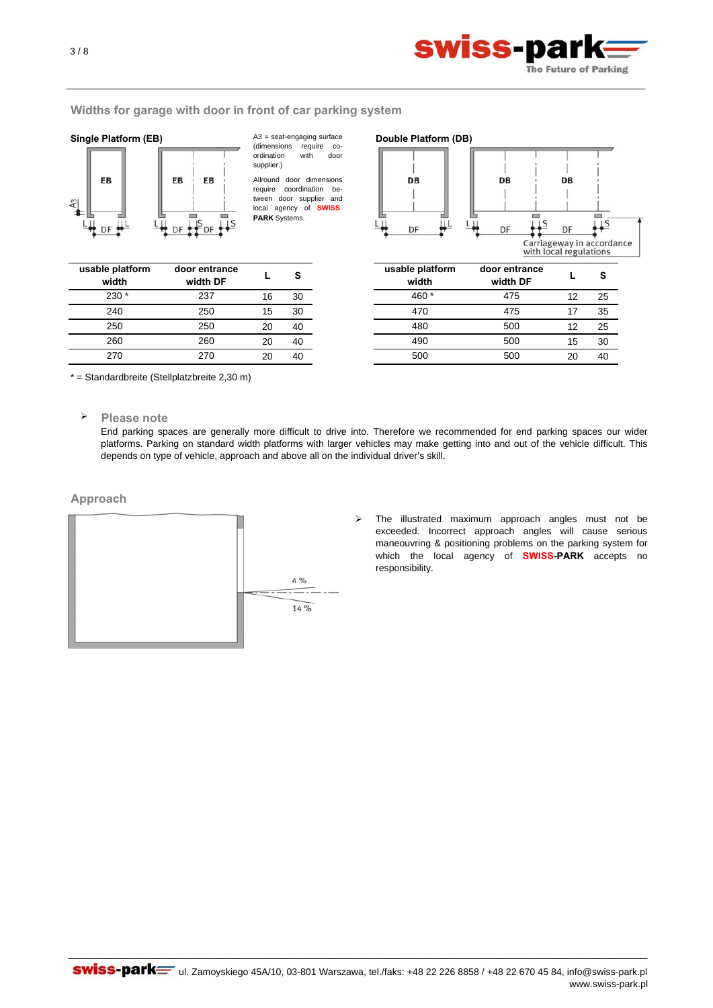

### **Widths for garage with door in front of car parking system**



Allround door dimensions A3 = seat-engaging surface (dimensions require co-<br>ordination with door  $\overline{\text{or}}$  dination with supplier.)

\_\_\_\_\_\_\_\_\_\_\_\_\_\_\_\_\_\_\_\_\_\_\_\_\_\_\_\_\_\_\_\_\_\_\_\_\_\_\_\_\_\_\_\_\_\_\_\_\_\_\_\_\_\_\_\_\_\_\_\_\_\_\_\_\_\_\_\_\_\_\_\_\_\_\_\_\_\_\_\_\_\_\_\_\_\_\_\_\_\_\_\_\_\_\_\_\_\_\_\_\_\_\_\_\_\_\_\_\_

require coordination between door supplier and local agency of **SWISS PARK** Systems.



| usable platform<br>width | door entrance<br>width DF |    | s  |
|--------------------------|---------------------------|----|----|
| $230*$                   | 237                       | 16 | 30 |
| 240                      | 250                       | 15 | 30 |
| 250                      | 250                       | 20 | 40 |
| 260                      | 260                       | 20 | 40 |
| 270                      | 270                       | 20 | 40 |

| L  | s  | usable platform<br>door entrance<br>width<br>width DF |    | s  |
|----|----|-------------------------------------------------------|----|----|
| 16 | 30 | 460 *<br>475                                          | 12 | 25 |
| 15 | 30 | 475<br>470                                            | 17 | 35 |
| 20 | 40 | 480<br>500                                            | 12 | 25 |
| 20 | 40 | 490<br>500                                            | 15 | 30 |
| 20 | 40 | 500<br>500                                            | 20 | 40 |

\* = Standardbreite (Stellplatzbreite 2,30 m)

**Please note**

End parking spaces are generally more difficult to drive into. Therefore we recommended for end parking spaces our wider platforms. Parking on standard width platforms with larger vehicles may make getting into and out of the vehicle difficult. This depends on type of vehicle, approach and above all on the individual driver's skill.

# **Approach**



 $\blacktriangleright$ The illustrated maximum approach angles must not be exceeded. Incorrect approach angles will cause serious maneouvring & positioning problems on the parking system for which the local agency of **SWISS-PARK** accepts no responsibility.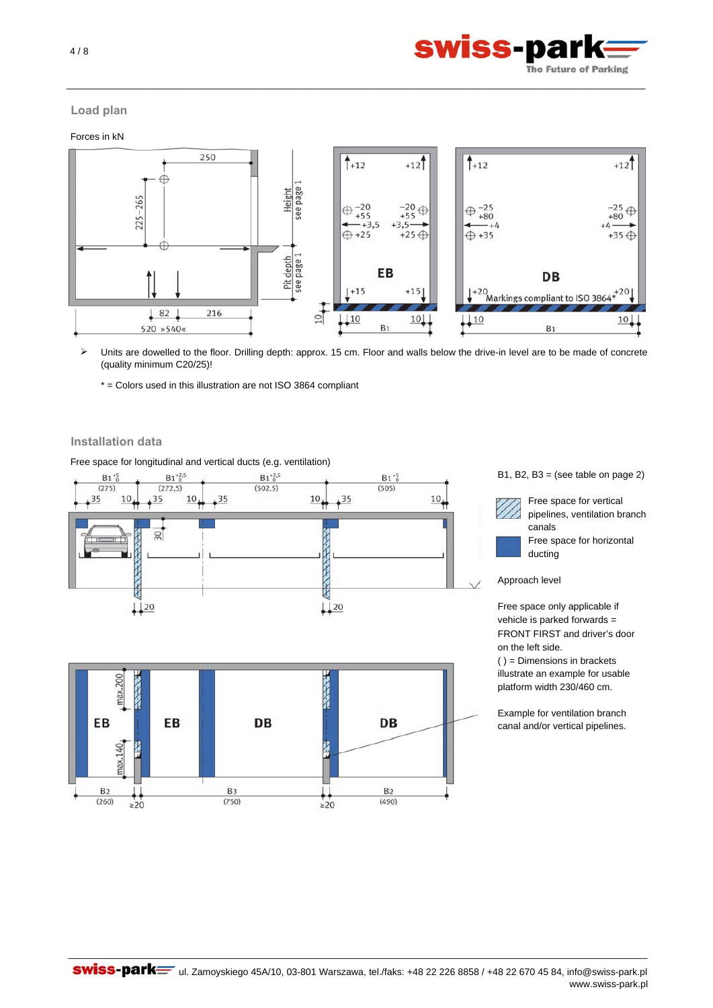

# **Load plan**

Forces in kN



\_\_\_\_\_\_\_\_\_\_\_\_\_\_\_\_\_\_\_\_\_\_\_\_\_\_\_\_\_\_\_\_\_\_\_\_\_\_\_\_\_\_\_\_\_\_\_\_\_\_\_\_\_\_\_\_\_\_\_\_\_\_\_\_\_\_\_\_\_\_\_\_\_\_\_\_\_\_\_\_\_\_\_\_\_\_\_\_\_\_\_\_\_\_\_\_\_\_\_\_\_\_\_\_\_\_\_\_\_

 $\blacktriangleright$ Units are dowelled to the floor. Drilling depth: approx. 15 cm. Floor and walls below the drive-in level are to be made of concrete (quality minimum C20/25)!

\* = Colors used in this illustration are not ISO 3864 compliant

# **Installation data**

Free space for longitudinal and vertical ducts (e.g. ventilation)





B1, B2, B3 = (see table on page  $2$ )



Free space for vertical pipelines, ventilation branch canals Free space for horizontal ducting

Approach level

Free space only applicable if vehicle is parked forwards = FRONT FIRST and driver's door on the left side.

( ) = Dimensions in brackets illustrate an example for usable platform width 230/460 cm.

Example for ventilation branch canal and/or vertical pipelines.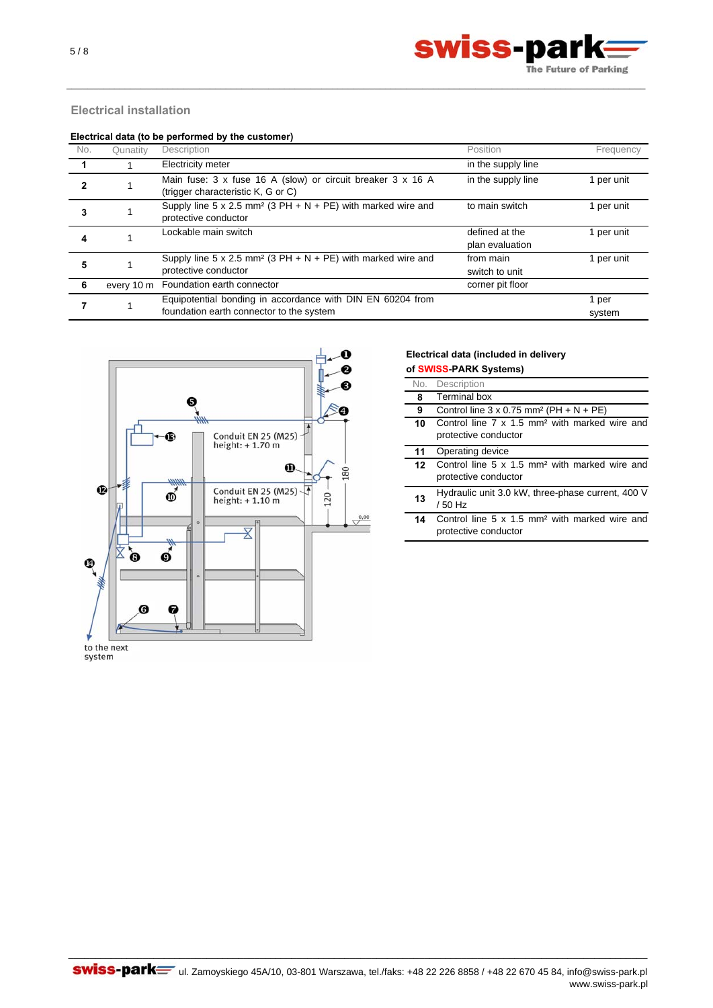

# **Electrical installation**

#### **Electrical data (to be performed by the customer)**

| No. | Qunatity | Description                                                                                            | Position                          | Frequency       |
|-----|----------|--------------------------------------------------------------------------------------------------------|-----------------------------------|-----------------|
|     |          | Electricity meter                                                                                      | in the supply line                |                 |
|     |          | Main fuse: 3 x fuse 16 A (slow) or circuit breaker 3 x 16 A<br>(trigger characteristic K, G or C)      | in the supply line                | 1 per unit      |
| 3   |          | Supply line 5 x 2.5 mm <sup>2</sup> (3 PH $+ N + PE$ ) with marked wire and<br>protective conductor    | to main switch                    | 1 per unit      |
|     |          | Lockable main switch                                                                                   | defined at the<br>plan evaluation | 1 per unit      |
| 5   |          | Supply line 5 x 2.5 mm <sup>2</sup> (3 PH + N + PE) with marked wire and<br>protective conductor       | from main<br>switch to unit       | 1 per unit      |
| -6  |          | every 10 m Foundation earth connector                                                                  | corner pit floor                  |                 |
|     |          | Equipotential bonding in accordance with DIN EN 60204 from<br>foundation earth connector to the system |                                   | 1 per<br>system |

\_\_\_\_\_\_\_\_\_\_\_\_\_\_\_\_\_\_\_\_\_\_\_\_\_\_\_\_\_\_\_\_\_\_\_\_\_\_\_\_\_\_\_\_\_\_\_\_\_\_\_\_\_\_\_\_\_\_\_\_\_\_\_\_\_\_\_\_\_\_\_\_\_\_\_\_\_\_\_\_\_\_\_\_\_\_\_\_\_\_\_\_\_\_\_\_\_\_\_\_\_\_\_\_\_\_\_\_\_



# **Electrical data (included in delivery**

| of SWISS-PARK Systems) |                                                                                   |  |
|------------------------|-----------------------------------------------------------------------------------|--|
| No.                    | Description                                                                       |  |
| 8                      | Terminal box                                                                      |  |
| 9                      | Control line $3 \times 0.75$ mm <sup>2</sup> (PH + N + PE)                        |  |
| 10                     | Control line 7 x 1.5 mm <sup>2</sup> with marked wire and                         |  |
|                        | protective conductor                                                              |  |
| 11                     | Operating device                                                                  |  |
| 12                     | Control line 5 x 1.5 mm <sup>2</sup> with marked wire and                         |  |
|                        | protective conductor                                                              |  |
| 13                     | Hydraulic unit 3.0 kW, three-phase current, 400 V<br>/ 50 Hz                      |  |
| 14                     | Control line 5 x 1.5 mm <sup>2</sup> with marked wire and<br>protective conductor |  |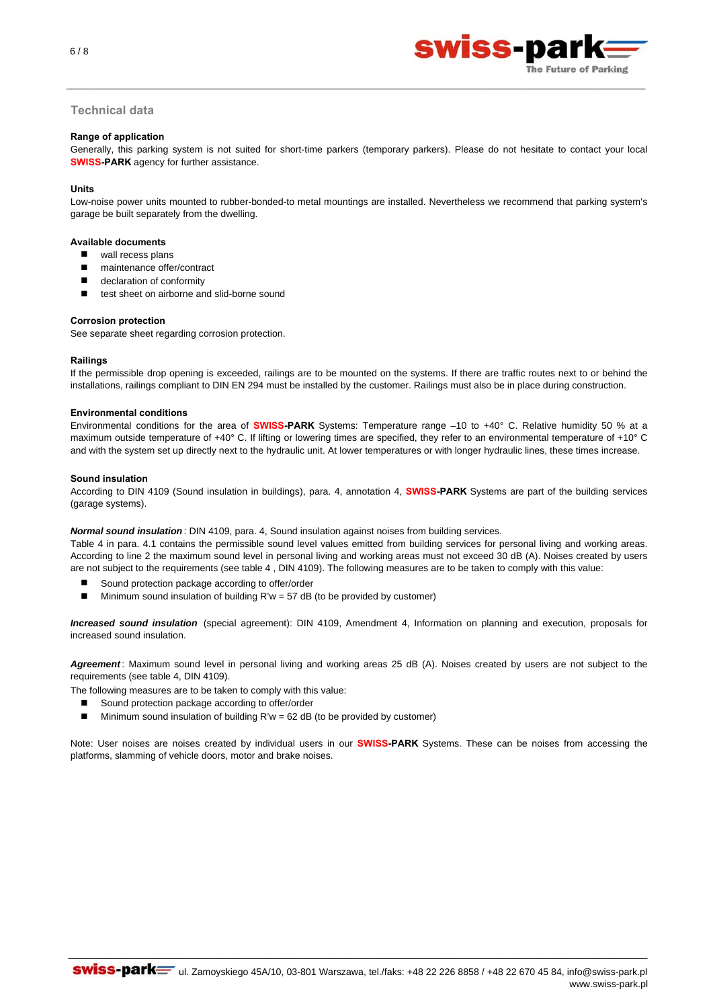6 / 8



# **Technical data**

#### **Range of application**

Generally, this parking system is not suited for short-time parkers (temporary parkers). Please do not hesitate to contact your local **SWISS-PARK** agency for further assistance.

\_\_\_\_\_\_\_\_\_\_\_\_\_\_\_\_\_\_\_\_\_\_\_\_\_\_\_\_\_\_\_\_\_\_\_\_\_\_\_\_\_\_\_\_\_\_\_\_\_\_\_\_\_\_\_\_\_\_\_\_\_\_\_\_\_\_\_\_\_\_\_\_\_\_\_\_\_\_\_\_\_\_\_\_\_\_\_\_\_\_\_\_\_\_\_\_\_\_\_\_\_\_\_\_\_\_\_\_\_

#### **Units**

Low-noise power units mounted to rubber-bonded-to metal mountings are installed. Nevertheless we recommend that parking system's garage be built separately from the dwelling.

#### **Available documents**

- wall recess plans
- maintenance offer/contract
- declaration of conformity
- test sheet on airborne and slid-borne sound

#### **Corrosion protection**

See separate sheet regarding corrosion protection.

#### **Railings**

If the permissible drop opening is exceeded, railings are to be mounted on the systems. If there are traffic routes next to or behind the installations, railings compliant to DIN EN 294 must be installed by the customer. Railings must also be in place during construction.

#### **Environmental conditions**

Environmental conditions for the area of **SWISS-PARK** Systems: Temperature range –10 to +40° C. Relative humidity 50 % at a maximum outside temperature of +40° C. If lifting or lowering times are specified, they refer to an environmental temperature of +10° C and with the system set up directly next to the hydraulic unit. At lower temperatures or with longer hydraulic lines, these times increase.

#### **Sound insulation**

According to DIN 4109 (Sound insulation in buildings), para. 4, annotation 4, **SWISS-PARK** Systems are part of the building services (garage systems).

#### *Normal sound insulation* : DIN 4109, para. 4, Sound insulation against noises from building services.

Table 4 in para. 4.1 contains the permissible sound level values emitted from building services for personal living and working areas. According to line 2 the maximum sound level in personal living and working areas must not exceed 30 dB (A). Noises created by users are not subject to the requirements (see table 4 , DIN 4109). The following measures are to be taken to comply with this value:

- Sound protection package according to offer/order
- $\blacksquare$  Minimum sound insulation of building R'w = 57 dB (to be provided by customer)

*Increased sound insulation* (special agreement): DIN 4109, Amendment 4, Information on planning and execution, proposals for increased sound insulation.

*Agreement* : Maximum sound level in personal living and working areas 25 dB (A). Noises created by users are not subject to the requirements (see table 4, DIN 4109).

The following measures are to be taken to comply with this value:

- Sound protection package according to offer/order
- **Minimum sound insulation of building R'w = 62 dB (to be provided by customer)**

Note: User noises are noises created by individual users in our **SWISS-PARK** Systems. These can be noises from accessing the platforms, slamming of vehicle doors, motor and brake noises.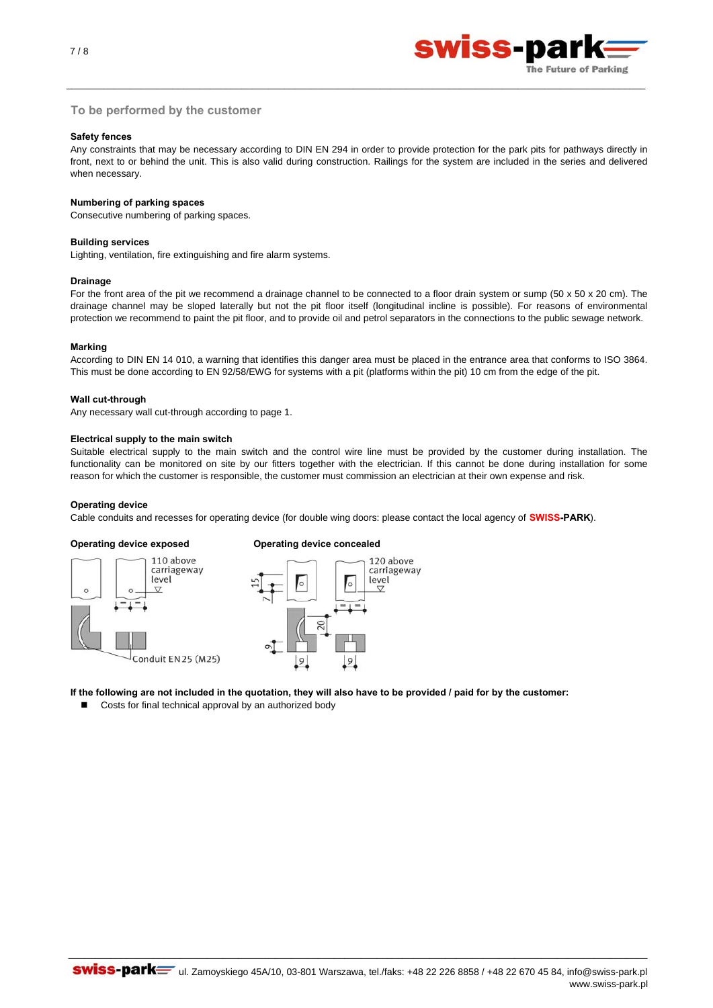

### **To be performed by the customer**

#### **Safety fences**

Any constraints that may be necessary according to DIN EN 294 in order to provide protection for the park pits for pathways directly in front, next to or behind the unit. This is also valid during construction. Railings for the system are included in the series and delivered when necessary.

\_\_\_\_\_\_\_\_\_\_\_\_\_\_\_\_\_\_\_\_\_\_\_\_\_\_\_\_\_\_\_\_\_\_\_\_\_\_\_\_\_\_\_\_\_\_\_\_\_\_\_\_\_\_\_\_\_\_\_\_\_\_\_\_\_\_\_\_\_\_\_\_\_\_\_\_\_\_\_\_\_\_\_\_\_\_\_\_\_\_\_\_\_\_\_\_\_\_\_\_\_\_\_\_\_\_\_\_\_

#### **Numbering of parking spaces**

Consecutive numbering of parking spaces.

#### **Building services**

Lighting, ventilation, fire extinguishing and fire alarm systems.

#### **Drainage**

For the front area of the pit we recommend a drainage channel to be connected to a floor drain system or sump (50 x 50 x 20 cm). The drainage channel may be sloped laterally but not the pit floor itself (longitudinal incline is possible). For reasons of environmental protection we recommend to paint the pit floor, and to provide oil and petrol separators in the connections to the public sewage network.

#### **Marking**

According to DIN EN 14 010, a warning that identifies this danger area must be placed in the entrance area that conforms to ISO 3864. This must be done according to EN 92/58/EWG for systems with a pit (platforms within the pit) 10 cm from the edge of the pit.

#### **Wall cut-through**

Any necessary wall cut-through according to page 1.

#### **Electrical supply to the main switch**

Suitable electrical supply to the main switch and the control wire line must be provided by the customer during installation. The functionality can be monitored on site by our fitters together with the electrician. If this cannot be done during installation for some reason for which the customer is responsible, the customer must commission an electrician at their own expense and risk.

#### **Operating device**

Cable conduits and recesses for operating device (for double wing doors: please contact the local agency of **SWISS-PARK**).

#### **Operating device exposed Operating device concealed**





**If the following are not included in the quotation, they will also have to be provided / paid for by the customer:**

Costs for final technical approval by an authorized body